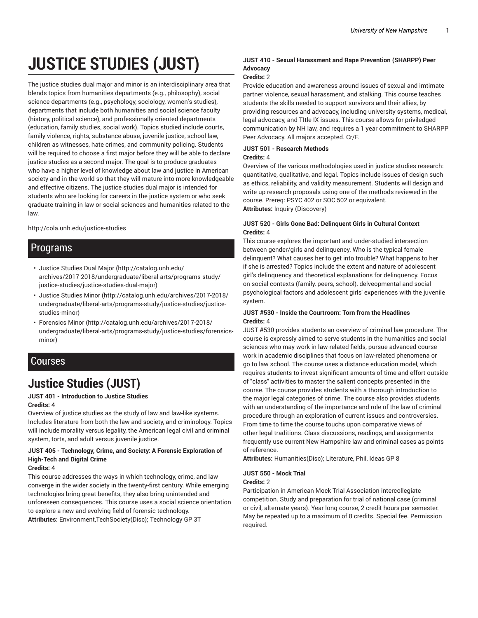# **JUSTICE STUDIES (JUST)**

The justice studies dual major and minor is an interdisciplinary area that blends topics from humanities departments (e.g., philosophy), social science departments (e.g., psychology, sociology, women's studies), departments that include both humanities and social science faculty (history, political science), and professionally oriented departments (education, family studies, social work). Topics studied include courts, family violence, rights, substance abuse, juvenile justice, school law, children as witnesses, hate crimes, and community policing. Students will be required to choose a first major before they will be able to declare justice studies as a second major. The goal is to produce graduates who have a higher level of knowledge about law and justice in American society and in the world so that they will mature into more knowledgeable and effective citizens. The justice studies dual major is intended for students who are looking for careers in the justice system or who seek graduate training in law or social sciences and humanities related to the law.

#### http://cola.unh.edu/justice-studies

## Programs

- Justice Studies Dual Major (http://catalog.unh.edu/ archives/2017-2018/undergraduate/liberal-arts/programs-study/ justice-studies/justice-studies-dual-major)
- Justice Studies Minor (http://catalog.unh.edu/archives/2017-2018/ undergraduate/liberal-arts/programs-study/justice-studies/justicestudies-minor)
- Forensics Minor (http://catalog.unh.edu/archives/2017-2018/ undergraduate/liberal-arts/programs-study/justice-studies/forensicsminor)

## Courses

# **Justice Studies (JUST)**

#### **JUST 401 - Introduction to Justice Studies Credits:** 4

Overview of justice studies as the study of law and law-like systems. Includes literature from both the law and society, and criminology. Topics will include morality versus legality, the American legal civil and criminal system, torts, and adult versus juvenile justice.

#### **JUST 405 - Technology, Crime, and Society: A Forensic Exploration of High-Tech and Digital Crime**

#### **Credits:** 4

This course addresses the ways in which technology, crime, and law converge in the wider society in the twenty-first century. While emerging technologies bring great benefits, they also bring unintended and unforeseen consequences. This course uses a social science orientation to explore a new and evolving field of forensic technology. **Attributes:** Environment,TechSociety(Disc); Technology GP 3T

#### **JUST 410 - Sexual Harassment and Rape Prevention (SHARPP) Peer Advocacy**

#### **Credits:** 2

Provide education and awareness around issues of sexual and imtimate partner violence, sexual harassment, and stalking. This course teaches students the skills needed to support survivors and their allies, by providing resources and advocacy, including university systems, medical, legal advocacy, and TItle IX issues. This course allows for priviledged communication by NH law, and requires a 1 year commitment to SHARPP Peer Advocacy. All majors accepted. Cr/F.

#### **JUST 501 - Research Methods**

#### **Credits:** 4

Overview of the various methodologies used in justice studies research: quantitative, qualitative, and legal. Topics include issues of design such as ethics, reliability, and validity measurement. Students will design and write up research proposals using one of the methods reviewed in the course. Prereq: PSYC 402 or SOC 502 or equivalent. **Attributes:** Inquiry (Discovery)

#### **JUST 520 - Girls Gone Bad: Delinquent Girls in Cultural Context Credits:** 4

This course explores the important and under-studied intersection between gender/girls and delinquency. Who is the typical female delinquent? What causes her to get into trouble? What happens to her if she is arrested? Topics include the extent and nature of adolescent girl's delinquency and theoretical explanations for delinquency. Focus on social contexts (family, peers, school), delveopmental and social psychological factors and adolescent girls' experiences with the juvenile system.

#### **JUST #530 - Inside the Courtroom: Torn from the Headlines Credits:** 4

JUST #530 provides students an overview of criminal law procedure. The course is expressly aimed to serve students in the humanities and social sciences who may work in law-related fields, pursue advanced course work in academic disciplines that focus on law-related phenomena or go to law school. The course uses a distance education model, which requires students to invest significant amounts of time and effort outside of "class" activities to master the salient concepts presented in the course. The course provides students with a thorough introduction to the major legal categories of crime. The course also provides students with an understanding of the importance and role of the law of criminal procedure through an exploration of current issues and controversies. From time to time the course touchs upon comparative views of other legal traditions. Class discussions, readings, and assignments frequently use current New Hampshire law and criminal cases as points of reference.

**Attributes:** Humanities(Disc); Literature, Phil, Ideas GP 8

### **JUST 550 - Mock Trial**

#### **Credits:** 2

Participation in American Mock Trial Association intercollegiate competition. Study and preparation for trial of national case (criminal or civil, alternate years). Year long course, 2 credit hours per semester. May be repeated up to a maximum of 8 credits. Special fee. Permission required.